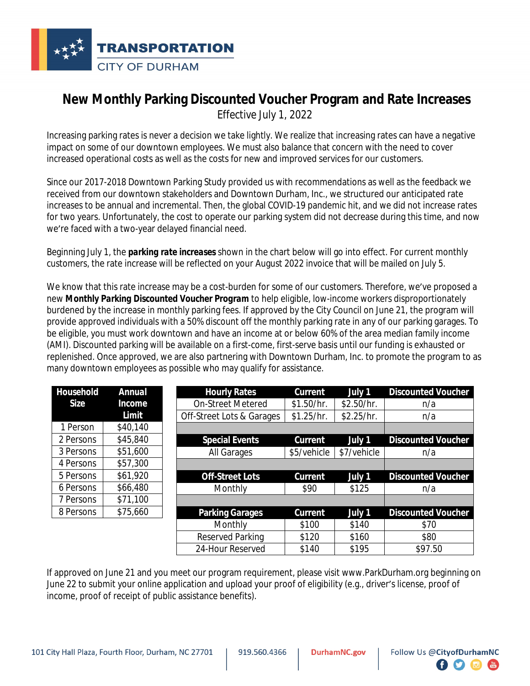

## **New Monthly Parking Discounted Voucher Program and Rate Increases**

*Effective July 1, 2022*

Increasing parking rates is never a decision we take lightly. We realize that increasing rates can have a negative impact on some of our downtown employees. We must also balance that concern with the need to cover increased operational costs as well as the costs for new and improved services for our customers.

Since our 2017-2018 Downtown Parking Study provided us with recommendations as well as the feedback we received from our downtown stakeholders and Downtown Durham, Inc., we structured our anticipated rate increases to be annual and incremental. Then, the global COVID-19 pandemic hit, and we did not increase rates for two years. Unfortunately, the cost to operate our parking system did not decrease during this time, and now we're faced with a two-year delayed financial need.

Beginning July 1, the *parking rate increases* shown in the chart below will go into effect. For current monthly customers, the rate increase will be reflected on your August 2022 invoice that will be mailed on July 5.

We know that this rate increase may be a cost-burden for some of our customers. Therefore, we've proposed a new *Monthly Parking Discounted Voucher Program* to help eligible, low-income workers disproportionately burdened by the increase in monthly parking fees. If approved by the City Council on June 21, the program will provide approved individuals with a 50% discount off the monthly parking rate in any of our parking garages. To be eligible, you must work downtown and have an income at or below 60% of the area median family income (AMI). Discounted parking will be available on a first-come, first-serve basis until our funding is exhausted or replenished. Once approved, we are also partnering with Downtown Durham, Inc. to promote the program to as many downtown employees as possible who may qualify for assistance.

| Household   | <b>Annual</b> | <b>Hourly Rates</b>       | <b>Current</b> | July 1      | <b>Discounted Voucher</b> |
|-------------|---------------|---------------------------|----------------|-------------|---------------------------|
| <b>Size</b> | Income        | <b>On-Street Metered</b>  | \$1.50/hr.     | \$2.50/hr.  | n/a                       |
|             | Limit         | Off-Street Lots & Garages | \$1.25/hr.     | \$2.25/hr.  | n/a                       |
| 1 Person    | \$40,140      |                           |                |             |                           |
| 2 Persons   | \$45,840      | <b>Special Events</b>     | Current        | July 1      | <b>Discounted Voucher</b> |
| 3 Persons   | \$51,600      | All Garages               | \$5/vehicle    | \$7/vehicle | n/a                       |
| 4 Persons   | \$57,300      |                           |                |             |                           |
| 5 Persons   | \$61,920      | <b>Off-Street Lots</b>    | Current        | July 1      | <b>Discounted Voucher</b> |
| 6 Persons   | \$66,480      | Monthly                   | \$90           | \$125       | n/a                       |
| 7 Persons   | \$71,100      |                           |                |             |                           |
| 8 Persons   | \$75,660      | <b>Parking Garages</b>    | Current        | July 1      | <b>Discounted Voucher</b> |
|             |               | Monthly                   | \$100          | \$140       | \$70                      |
|             |               | Reserved Parking          | \$120          | \$160       | \$80                      |

If approved on June 21 and you meet our program requirement, please visit www.ParkDurham.org beginning on June 22 to submit your online application and upload your proof of eligibility (e.g., driver's license, proof of income, proof of receipt of public assistance benefits).

24-Hour Reserved | \$140 | \$195 | \$97.50